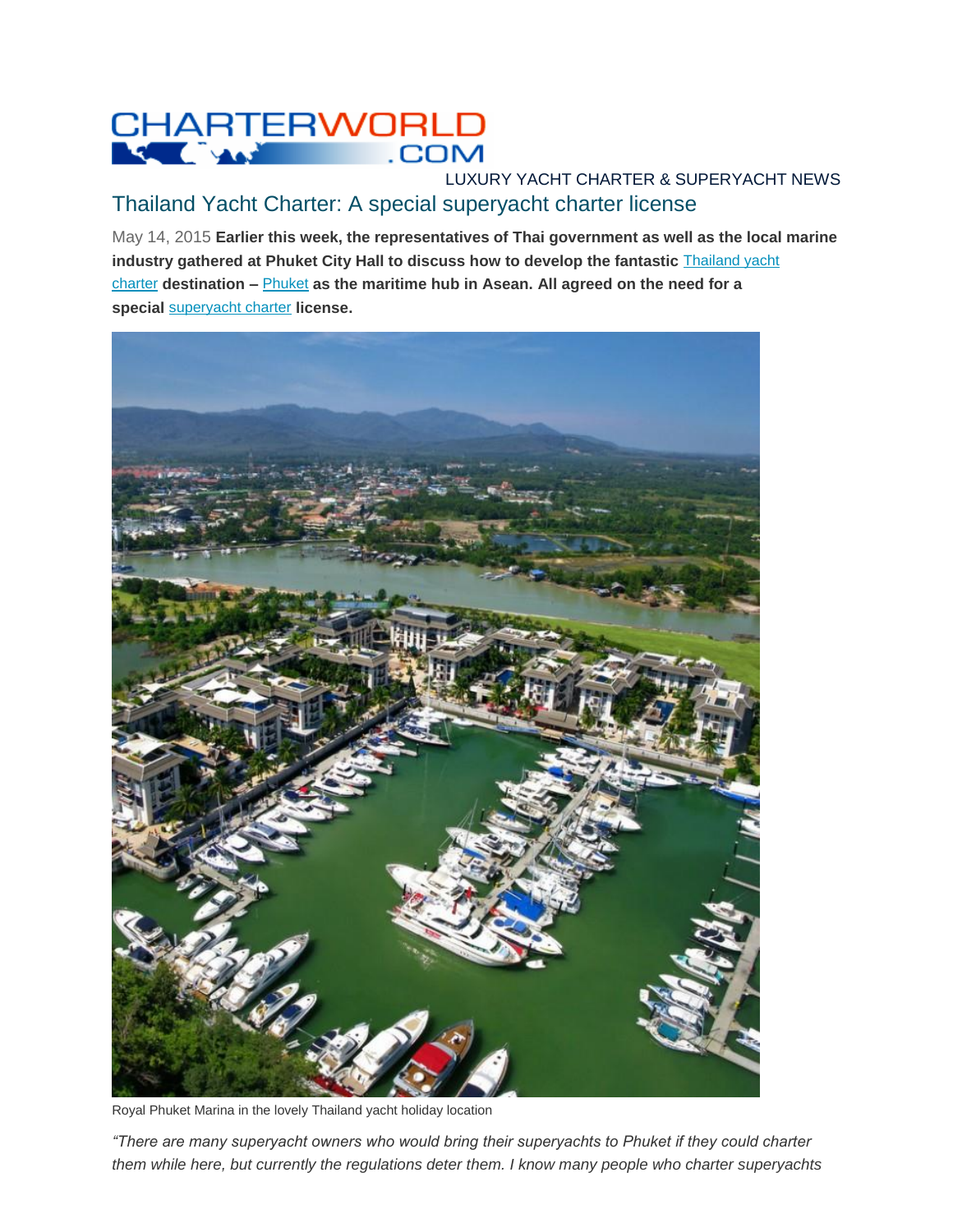## CHARTERWORLD

## LUXURY YACHT CHARTER & SUPERYACHT NEWS Thailand Yacht Charter: A special superyacht charter license

May 14, 2015 **Earlier this week, the representatives of Thai government as well as the local marine industry gathered at Phuket City Hall to discuss how to develop the fantastic** [Thailand yacht](http://www.charterworld.com/index.html?sub=thailand-yacht-charter)  [charter](http://www.charterworld.com/index.html?sub=thailand-yacht-charter) **destination –** [Phuket](http://www.charterworld.com/?sub=phuket-yacht-charter) **as the maritime hub in Asean. All agreed on the need for a special** [superyacht charter](http://www.charterworld.com/?sub=superyacht-charter) **license.**



Royal Phuket Marina in the lovely Thailand yacht holiday location

*"There are many superyacht owners who would bring their superyachts to Phuket if they could charter them while here, but currently the regulations deter them. I know many people who charter superyachts*